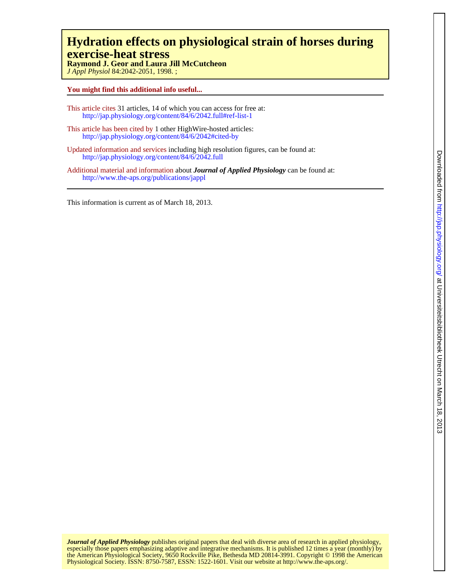# **exercise-heat stress Hydration effects on physiological strain of horses during**

*J Appl Physiol* 84:2042-2051, 1998. ; **Raymond J. Geor and Laura Jill McCutcheon**

## **You might find this additional info useful...**

- This article cites 31 articles, 14 of which you can access for free at: http://jap.physiology.org/content/84/6/2042.full#ref-list-1
- This article has been cited by 1 other HighWire-hosted articles: <http://jap.physiology.org/content/84/6/2042#cited-by>
- Updated information and services including high resolution figures, can be found at: http://jap.physiology.org/content/84/6/2042.full
- Additional material and information about *Journal of Applied Physiology* can be found at: http://www.the-aps.org/publications/jappl

This information is current as of March 18, 2013.

Physiological Society. ISSN: 8750-7587, ESSN: 1522-1601. Visit our website at http://www.the-aps.org/. the American Physiological Society, 9650 Rockville Pike, Bethesda MD 20814-3991. Copyright © 1998 the American especially those papers emphasizing adaptive and integrative mechanisms. It is published 12 times a year (monthly) by *Journal of Applied Physiology* publishes original papers that deal with diverse area of research in applied physiology,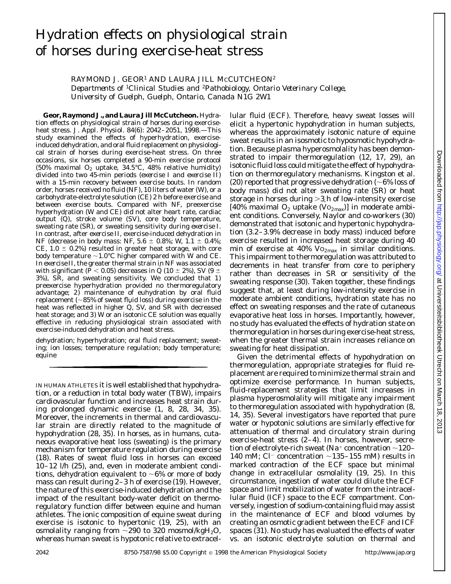# Hydration effects on physiological strain of horses during exercise-heat stress

RAYMOND J. GEOR<sup>1</sup> AND LAURA JILL MCCUTCHEON<sup>2</sup>

*Departments of* <sup>1</sup>*Clinical Studies and* <sup>2</sup>*Pathobiology, Ontario Veterinary College, University of Guelph, Guelph, Ontario, Canada N1G 2W1*

**Geor, Raymond J., and Laura Jill McCutcheon.** Hydration effects on physiological strain of horses during exerciseheat stress. *J. Appl. Physiol.* 84(6): 2042-2051, 1998.-This study examined the effects of hyperhydration, exerciseinduced dehydration, and oral fluid replacement on physiological strain of horses during exercise-heat stress. On three occasions, six horses completed a 90-min exercise protocol (50% maximal  $O_2$  uptake, 34.5°C, 48% relative humidity) divided into two 45-min periods (*exercise I* and *exercise II*) with a 15-min recovery between exercise bouts. In random order, horses received no fluid (NF), 10 liters of water (W), or a carbohydrate-electrolyte solution (CE) 2 h before exercise and between exercise bouts. Compared with NF, preexercise hyperhydration (W and CE) did not alter heart rate, cardiac output (Q), stroke volume (SV), core body temperature, sweating rate (SR), or sweating sensitivity during *exercise I*. In contrast, after *exercise II*, exercise-induced dehydration in NF (decrease in body mass: NF,  $5.6 \pm 0.8$ %; W,  $1.1 \pm 0.4$ %; CE,  $1.0 \pm 0.2\%$  resulted in greater heat storage, with core body temperature  $\sim$ 1.0°C higher compared with W and CE. In *exercise II*, the greater thermal strain in NF was associated with significant ( $\bar{P}$  < 0.05) decreases in Q (10  $\pm$  2%), SV (9  $\pm$ 3%), SR, and sweating sensitivity. We concluded that *1*) preexercise hyperhydration provided no thermoregulatory advantage; *2*) maintenance of euhydration by oral fluid replacement ( $\sim$ 85% of sweat fluid loss) during exercise in the heat was reflected in higher Q, SV, and SR with decreased heat storage; and *3*) W or an isotonic CE solution was equally effective in reducing physiological strain associated with exercise-induced dehydration and heat stress.

dehydration; hyperhydration; oral fluid replacement; sweating; ion losses; temperature regulation; body temperature; equine

IN HUMAN ATHLETES it is well established that hypohydration, or a reduction in total body water (TBW), impairs cardiovascular function and increases heat strain during prolonged dynamic exercise (1, 8, 28, 34, 35). Moreover, the increments in thermal and cardiovascular strain are directly related to the magnitude of hypohydration (28, 35). In horses, as in humans, cutaneous evaporative heat loss (sweating) is the primary mechanism for temperature regulation during exercise (18). Rates of sweat fluid loss in horses can exceed 10–12 l/h (25), and, even in moderate ambient conditions, dehydration equivalent to  $\sim6\%$  or more of body mass can result during 2–3 h of exercise (19). However, the nature of this exercise-induced dehydration and the impact of the resultant body-water deficit on thermoregulatory function differ between equine and human athletes. The ionic composition of equine sweat during exercise is isotonic to hypertonic (19, 25), with an osmolality ranging from  $\sim$ 290 to 320 mosmol/kgH<sub>2</sub>O, whereas human sweat is hypotonic relative to extracellular fluid (ECF). Therefore, heavy sweat losses will elicit a hypertonic hypohydration in human subjects, whereas the approximately isotonic nature of equine sweat results in an isosmotic to hyposmotic hypohydration. Because plasma hyperosmolality has been demonstrated to impair thermoregulation (12, 17, 29), an isotonic fluid loss could mitigate the effect of hypohydration on thermoregulatory mechanisms. Kingston et al. (20) reported that progressive dehydration ( $\sim$ 6% loss of body mass) did not alter sweating rate (SR) or heat storage in horses during  $>3$  h of low-intensity exercise [40% maximal  $O_2$  uptake (V $O_{2\text{max}}$ )] in moderate ambient conditions. Conversely, Naylor and co-workers (30) demonstrated that isotonic and hypertonic hypohydration (3.2–3.9% decrease in body mass) induced before exercise resulted in increased heat storage during 40 min of exercise at 40%  $Vo_{2max}$  in similar conditions. This impairment to thermoregulation was attributed to decrements in heat transfer from core to periphery rather than decreases in SR or sensitivity of the sweating response (30). Taken together, these findings suggest that, at least during low-intensity exercise in moderate ambient conditions, hydration state has no effect on sweating responses and the rate of cutaneous evaporative heat loss in horses. Importantly, however, no study has evaluated the effects of hydration state on thermoregulation in horses during exercise-heat stress, when the greater thermal strain increases reliance on sweating for heat dissipation.

Given the detrimental effects of hypohydration on thermoregulation, appropriate strategies for fluid replacement are required to minimize thermal strain and optimize exercise performance. In human subjects, fluid-replacement strategies that limit increases in plasma hyperosmolality will mitigate any impairment to thermoregulation associated with hypohydration (8, 14, 35). Several investigators have reported that pure water or hypotonic solutions are similarly effective for attenuation of thermal and circulatory strain during exercise-heat stress (2–4). In horses, however, secretion of electrolyte-rich sweat (Na<sup>+</sup> concentration  $\sim$ 120– 140 mM; Cl<sup>-</sup> concentration  $\sim$ 135–155 mM) results in marked contraction of the ECF space but minimal change in extracellular osmolality (19, 25). In this circumstance, ingestion of water could dilute the ECF space and limit mobilization of water from the intracellular fluid (ICF) space to the ECF compartment. Conversely, ingestion of sodium-containing fluid may assist in the maintenance of ECF and blood volumes by creating an osmotic gradient between the ECF and ICF spaces (31). No study has evaluated the effects of water vs. an isotonic electrolyte solution on thermal and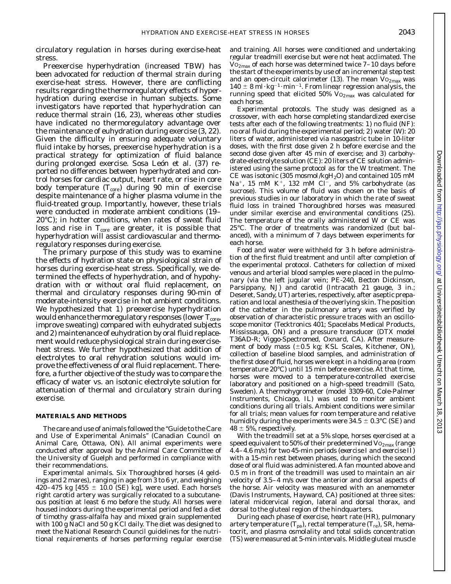circulatory regulation in horses during exercise-heat stress.

Preexercise hyperhydration (increased TBW) has been advocated for reduction of thermal strain during exercise-heat stress. However, there are conflicting results regarding the thermoregulatory effects of hyperhydration during exercise in human subjects. Some investigators have reported that hyperhydration can reduce thermal strain (16, 23), whereas other studies have indicated no thermoregulatory advantage over the maintenance of euhydration during exercise (3, 22). Given the difficulty in ensuring adequate voluntary fluid intake by horses, preexercise hyperhydration is a practical strategy for optimization of fluid balance during prolonged exercise. Sosa León et al. (37) reported no differences between hyperhydrated and control horses for cardiac output, heart rate, or rise in core body temperature  $(T_{core})$  during 90 min of exercise despite maintenance of a higher plasma volume in the fluid-treated group. Importantly, however, these trials were conducted in moderate ambient conditions (19– 20°C); in hotter conditions, when rates of sweat fluid loss and rise in  $T_{\text{core}}$  are greater, it is possible that hyperhydration will assist cardiovascular and thermoregulatory responses during exercise.

The primary purpose of this study was to examine the effects of hydration state on physiological strain of horses during exercise-heat stress. Specifically, we determined the effects of hyperhydration, and of hypohydration with or without oral fluid replacement, on thermal and circulatory responses during 90-min of moderate-intensity exercise in hot ambient conditions. We hypothesized that *1*) preexercise hyperhydration would enhance thermoregulatory responses (lower  $T_{core}$ , improve sweating) compared with euhydrated subjects and *2*) maintenance of euhydration by oral fluid replacement would reduce physiological strain during exerciseheat stress. We further hypothesized that addition of electrolytes to oral rehydration solutions would improve the effectiveness of oral fluid replacement. Therefore, a further objective of the study was to compare the efficacy of water vs. an isotonic electrolyte solution for attenuation of thermal and circulatory strain during exercise.

#### **MATERIALS AND METHODS**

The care and use of animals followed the ''Guide to the Care and Use of Experimental Animals'' (Canadian Council on Animal Care, Ottawa, ON). All animal experiments were conducted after approval by the Animal Care Committee of the University of Guelph and performed in compliance with their recommendations.

*Experimental animals.* Six Thoroughbred horses (4 geldings and 2 mares), ranging in age from 3 to 6 yr, and weighing 420–475 kg  $[455 \pm 10.0$  (SE) kg], were used. Each horse's right carotid artery was surgically relocated to a subcutaneous position at least 6 mo before the study. All horses were housed indoors during the experimental period and fed a diet of timothy grass-alfalfa hay and mixed grain supplemented with 100 g NaCl and 50 g KCl daily. The diet was designed to meet the National Research Council guidelines for the nutritional requirements of horses performing regular exercise

and training. All horses were conditioned and undertaking regular treadmill exercise but were not heat acclimated. The  $\rm{Vo_{2max}}$  of each horse was determined twice  $7-10$  days before the start of the experiments by use of an incremental step test and an open-circuit calorimeter (13). The mean  $Vo_{2max}$  was  $140 \pm 8$  ml·kg<sup>-1</sup>·min<sup>-1</sup>. From linear regression analysis, the running speed that elicited 50%  $Vo_{2max}$  was calculated for each horse.

*Experimental protocols.* The study was designed as a crossover, with each horse completing standardized exercise tests after each of the following treatments: *1*) no fluid (NF): no oral fluid during the experimental period; *2*) water (W): 20 liters of water, administered via nasogastric tube in 10-liter doses, with the first dose given 2 h before exercise and the second dose given after 45 min of exercise; and *3*) carbohydrate-electrolyte solution (CE): 20 liters of CE solution administered using the same protocol as for the W treatment. The CE was isotonic (305 mosmol/kg $H_2O$ ) and contained 105 mM Na<sup>+</sup>, 15 mM K<sup>+</sup>, 132 mM Cl<sup>-</sup>, and 5% carbohydrate (as sucrose). This volume of fluid was chosen on the basis of previous studies in our laboratory in which the rate of sweat fluid loss in trained Thoroughbred horses was measured under similar exercise and environmental conditions (25). The temperature of the orally administered W or CE was 25°C. The order of treatments was randomized (but balanced), with a minimum of 7 days between experiments for each horse.

Food and water were withheld for 3 h before administration of the first fluid treatment and until after completion of the experimental protocol. Catheters for collection of mixed venous and arterial blood samples were placed in the pulmonary (via the left jugular vein; PE-240, Becton Dickinson, Parsippany, NJ) and carotid (Intracath 21 gauge, 3 in.; Deseret, Sandy, UT) arteries, respectively, after aseptic preparation and local anesthesia of the overlying skin. The position of the catheter in the pulmonary artery was verified by observation of characteristic pressure traces with an oscilloscope monitor (Tecktronics 401; Spacelabs Medical Products, Mississauga, ON) and a pressure transducer (DTX model T36AD-R; Viggo-Spectromed, Oxnard, CA). After measurement of body mass  $(\pm 0.5 \text{ kg}; \text{KSL Scales}, \text{Kitchener}, \text{ON}),$ collection of baseline blood samples, and administration of the first dose of fluid, horses were kept in a holding area (room temperature 20°C) until 15 min before exercise. At that time, horses were moved to a temperature-controlled exercise laboratory and positioned on a high-speed treadmill (Sato, Sweden). A thermohygrometer (model 3309-60, Cole-Palmer Instruments, Chicago, IL) was used to monitor ambient conditions during all trials. Ambient conditions were similar for all trials; mean values for room temperature and relative humidity during the experiments were  $34.5 \pm 0.3$ °C (SE) and  $48 \pm 5\%$ , respectively.

With the treadmill set at a 5% slope, horses exercised at a speed equivalent to 50% of their predetermined  $\mathrm{Vo}_{2\text{max}}$  (range 4.4–4.6 m/s) for two 45-min periods (*exercise I* and *exercise II*) with a 15-min rest between phases, during which the second dose of oral fluid was administered. A fan mounted above and 0.5 m in front of the treadmill was used to maintain an air velocity of 3.5–4 m/s over the anterior and dorsal aspects of the horse. Air velocity was measured with an anemometer (Davis Instruments, Hayward, CA) positioned at three sites: lateral midcervical region, lateral and dorsal thorax, and dorsal to the gluteal region of the hindquarters.

During each phase of exercise, heart rate (HR), pulmonary artery temperature  $(T_{pa})$ , rectal temperature  $(T_{re})$ , SR, hematocrit, and plasma osmolality and total solids concentration (TS) were measured at 5-min intervals. Middle gluteal muscle

 $.2013$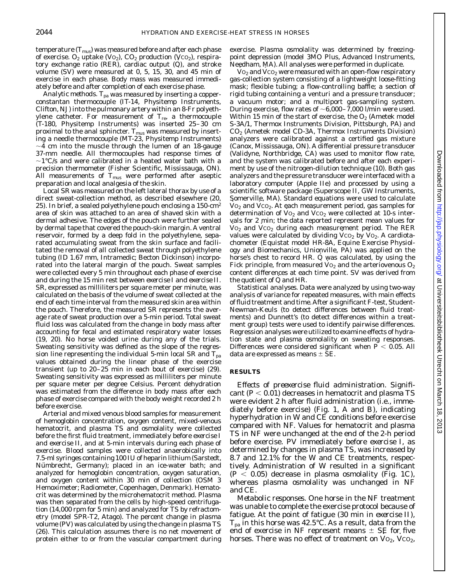temperature  $(T_{\text{mus}})$  was measured before and after each phase of exercise.  $O_2$  uptake (V $O_2$ ), C $O_2$  production (V $CO_2$ ), respiratory exchange ratio (RER), cardiac output  $(Q)$ , and stroke volume (SV) were measured at 0, 5, 15, 30, and 45 min of exercise in each phase. Body mass was measured immediately before and after completion of each exercise phase.

*Analytic methods.*  $T_{pa}$  was measured by inserting a copperconstantan thermocouple (IT-14, Physitemp Instruments, Clifton, NJ) into the pulmonary artery within an 8-Fr polyethylene catheter. For measurement of  $T_{\text{re}}$ , a thermocouple (T-180, Physitemp Instruments) was inserted 25–30 cm proximal to the anal sphincter.  $T_{\rm mus}$  was measured by inserting a needle thermocouple (MT-23, Physitemp Instruments)  $\sim$ 4 cm into the muscle through the lumen of an 18-gauge 37-mm needle. All thermocouples had response times of  $\sim$ 1°C/s and were calibrated in a heated water bath with a precision thermometer (Fisher Scientific, Mississauga, ON). All measurements of  $T_{\text{mus}}$  were performed after aseptic preparation and local analgesia of the skin.

Local SR was measured on the left lateral thorax by use of a direct sweat-collection method, as described elsewhere (20, 25). In brief, a sealed polyethylene pouch enclosing a 150-cm<sup>2</sup> area of skin was attached to an area of shaved skin with a dermal adhesive. The edges of the pouch were further sealed by dermal tape that covered the pouch-skin margin. A ventral reservoir, formed by a deep fold in the polyethylene, separated accumulating sweat from the skin surface and facilitated the removal of all collected sweat through polyethylene tubing (ID 1.67 mm, Intramedic; Becton Dickinson) incorporated into the lateral margin of the pouch. Sweat samples were collected every 5 min throughout each phase of exercise and during the 15 min rest between *exercise I* and *exercise II*. SR, expressed as milliliters per square meter per minute, was calculated on the basis of the volume of sweat collected at the end of each time interval from the measured skin area within the pouch. Therefore, the measured SR represents the average rate of sweat production over a 5-min period. Total sweat fluid loss was calculated from the change in body mass after accounting for fecal and estimated respiratory water losses (19, 20). No horse voided urine during any of the trials. Sweating sensitivity was defined as the slope of the regression line representing the individual 5-min local SR and  $T_{pa}$ values obtained during the linear phase of the exercise transient (up to 20–25 min in each bout of exercise) (29). Sweating sensitivity was expressed as milliliters per minute per square meter per degree Celsius. Percent dehydration was estimated from the difference in body mass after each phase of exercise compared with the body weight recorded 2 h before exercise.

Arterial and mixed venous blood samples for measurement of hemoglobin concentration, oxygen content, mixed-venous hematocrit, and plasma TS and osmolality were collected before the first fluid treatment, immediately before *exercise I* and *exercise II*, and at 5-min intervals during each phase of exercise. Blood samples were collected anaerobically into 7.5-ml syringes containing 100 IU of heparin lithium (Sarstedt, Nümbrecht, Germany); placed in an ice-water bath; and analyzed for hemoglobin concentration, oxygen saturation, and oxygen content within 30 min of collection (OSM 3 Hemoximeter; Radiometer, Copenhagen, Denmark). Hematocrit was determined by the microhematocrit method. Plasma was then separated from the cells by high-speed centrifugation (14,000 rpm for 5 min) and analyzed for TS by refractometry (model SPR-T2, Atago). The percent change in plasma volume (PV) was calculated by using the change in plasma TS (26). This calculation assumes there is no net movement of protein either to or from the vascular compartment during

exercise. Plasma osmolality was determined by freezingpoint depression (model 3MO Plus, Advanced Instruments, Needham, MA). All analyses were performed in duplicate.

 $\rm{Vo}_2$  and  $\rm{Vco}_2$  were measured with an open-flow respiratory gas-collection system consisting of a lightweight loose-fitting mask; flexible tubing; a flow-controlling baffle; a section of rigid tubing containing a venturi and a pressure transducer; a vacuum motor; and a multiport gas-sampling system. During exercise, flow rates of  $\sim 6,000-7,000$  l/min were used. Within 15 min of the start of exercise, the  $O<sub>2</sub>$  (Ametek model S-3A/1, Thermox Instruments Division, Pittsburgh, PA) and  $CO<sub>2</sub>$  (Ametek model CD-3A, Thermox Instruments Division) analyzers were calibrated against a certified gas mixture (Canox, Mississauga, ON). A differential pressure transducer (Validyne, Northbridge, CA) was used to monitor flow rate, and the system was calibrated before and after each experiment by use of the nitrogen-dilution technique (10). Both gas analyzers and the pressure transducer were interfaced with a laboratory computer (Apple IIe) and processed by using a scientific software package (Superscope II, GW Instruments, Somerville, MA). Standard equations were used to calculate  $Vo_2$  and  $Vco_2$ . At each measurement period, gas samples for determination of  $Vo_2$  and  $Vco_2$  were collected at 10-s intervals for 2 min; the data reported represent mean values for  $\rm{Vo}_2$  and  $\rm{Vco}_2$  during each measurement period. The RER values were calculated by dividing  $VCO<sub>2</sub>$  by  $Vo<sub>2</sub>$ . A cardiotachometer (Equistat model HR-8A, Equine Exercise Physiology and Biomechanics, Unionville, PA) was applied on the horse's chest to record HR. Q was calculated, by using the Fick principle, from measured  $Vo_2$  and the arteriovenous  $O_2$ content differences at each time point. SV was derived from the quotient of  $\dot{Q}$  and HR.

*Statistical analyses.* Data were analyzed by using two-way analysis of variance for repeated measures, with main effects of fluid treatment and time.After a significant *F*-test, Student-Newman-Keuls (to detect differences between fluid treatments) and Dunnett's (to detect differences within a treatment group) tests were used to identify pairwise differences. Regression analyses were utilized to examine effects of hydration state and plasma osmolality on sweating responses. Differences were considered significant when  $P < 0.05$ . All data are expressed as means  $\pm$  SE.

#### **RESULTS**

*Effects of preexercise fluid administration*. Significant  $(P < 0.01)$  decreases in hematocrit and plasma TS were evident 2 h after fluid administration (i.e., immediately before exercise) (Fig. 1, *A* and *B*), indicating hyperhydration in W and CE conditions before exercise compared with NF. Values for hematocrit and plasma TS in NF were unchanged at the end of the 2-h period before exercise. PV immediately before *exercise I*, as determined by changes in plasma TS, was increased by 8.7 and 12.1% for the W and CE treatments, respectively. Administration of W resulted in a significant  $(P < 0.05)$  decrease in plasma osmolality (Fig. 1*C*), whereas plasma osmolality was unchanged in NF and CE.

*Metabolic responses.* One horse in the NF treatment was unable to complete the exercise protocol because of fatigue. At the point of fatigue (30 min in *exercise II*),  $T_{pa}$  in this horse was 42.5°C. As a result, data from the end of exercise in NF represent means  $\pm$  SE for five horses. There was no effect of treatment on  $Vo_2$ ,  $VCO_2$ ,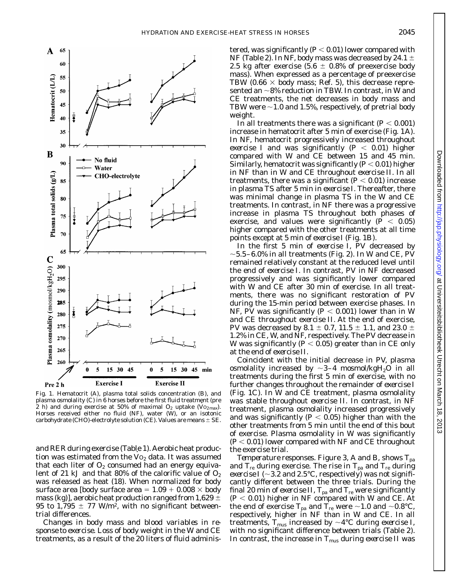

Fig. 1. Hematocrit (*A*), plasma total solids concentration (*B*), and plasma osmolality (*C*) in 6 horses before the first fluid treatment (pre 2 h) and during exercise at 50% of maximal  $O_2$  uptake ( $\overrightarrow{V}O_{2\text{max}}$ ). Horses received either no fluid (NF), water (W), or an isotonic carbohydrate (CHO)-electrolyte solution (CE). Values are means  $\pm$  SE.

and RER during exercise (Table 1). Aerobic heat production was estimated from the  $Vo_2$  data. It was assumed that each liter of  $O<sub>2</sub>$  consumed had an energy equivalent of 21 kJ and that 80% of the calorific value of  $O_2$ was released as heat (18). When normalized for body surface area [body surface area =  $1.09 + 0.008 \times$  body mass (kg)], aerobic heat production ranged from 1,629  $\pm$ 95 to 1,795  $\pm$  77 W/m<sup>2</sup>, with no significant betweentrial differences.

*Changes in body mass and blood variables in response to exercise.* Loss of body weight in the W and CE treatments, as a result of the 20 liters of fluid adminis-

tered, was significantly  $(P < 0.01)$  lower compared with NF (Table 2). In NF, body mass was decreased by 24.1  $\pm$ 2.5 kg after exercise (5.6  $\pm$  0.8% of preexercise body mass). When expressed as a percentage of preexercise TBW (0.66  $\times$  body mass; Ref. 5), this decrease represented an  $\sim$ 8% reduction in TBW. In contrast, in W and CE treatments, the net decreases in body mass and TBW were  $\sim$  1.0 and 1.5%, respectively, of pretrial body weight.

In all treatments there was a significant  $(P < 0.001)$ increase in hematocrit after 5 min of exercise (Fig. 1*A*). In NF, hematocrit progressively increased throughout *exercise I* and was significantly  $(P < 0.01)$  higher compared with W and CE between 15 and 45 min. Similarly, hematocrit was significantly  $(P < 0.01)$  higher in NF than in W and CE throughout *exercise II*. In all treatments, there was a significant  $(P < 0.01)$  increase in plasma TS after 5 min in *exercise I*. Thereafter, there was minimal change in plasma TS in the W and CE treatments. In contrast, in NF there was a progressive increase in plasma TS throughout both phases of exercise, and values were significantly  $(P < 0.05)$ higher compared with the other treatments at all time points except at 5 min of *exercise I* (Fig. 1*B*).

In the first 5 min of *exercise I*, PV decreased by  $\sim$ 5.5–6.0% in all treatments (Fig. 2). In W and CE, PV remained relatively constant at the reduced level until the end of *exercise I*. In contrast, PV in NF decreased progressively and was significantly lower compared with W and CE after 30 min of exercise. In all treatments, there was no significant restoration of PV during the 15-min period between exercise phases. In NF, PV was significantly  $(P < 0.001)$  lower than in W and CE throughout *exercise II*. At the end of exercise, PV was decreased by 8.1  $\pm$  0.7, 11.5  $\pm$  1.1, and 23.0  $\pm$ 1.2% in CE, W, and NF, respectively. The PV decrease in W was significantly ( $P < 0.05$ ) greater than in CE only at the end of *exercise II*.

Coincident with the initial decrease in PV, plasma osmolality increased by  $\sim$ 3–4 mosmol/kgH<sub>2</sub>O in all treatments during the first 5 min of exercise, with no further changes throughout the remainder of *exercise I* (Fig. 1*C*). In W and CE treatment, plasma osmolality was stable throughout *exercise II*. In contrast, in NF treatment, plasma osmolality increased progressively and was significantly  $(P < 0.05)$  higher than with the other treatments from 5 min until the end of this bout of exercise. Plasma osmolality in W was significantly  $(P< 0.01)$  lower compared with NF and CE throughout the exercise trial.

*Temperature responses.* Figure 3, *A* and *B*, shows  $T_{pa}$ and  $T_{\text{re}}$  during exercise. The rise in  $T_{\text{pa}}$  and  $T_{\text{re}}$  during *exercise I* ( $\sim$ 3.2 and 2.5°C, respectively) was not significantly different between the three trials. During the final 20 min of *exercise II*,  $T_{pa}$  and  $T_{re}$  were significantly  $(P < 0.01)$  higher in NF compared with W and CE. At the end of exercise  $\rm T_{pa}$  and  $\rm T_{re}$  were  ${\sim}1.0$  and  ${\sim}0.8^{\circ}$ C, respectively, higher in NF than in W and CE. In all treatments,  $T_{\text{mus}}$  increased by  $\sim$ 4°C during *exercise I*, with no significant difference between trials (Table 2). In contrast, the increase in T<sub>mus</sub> during *exercise II* was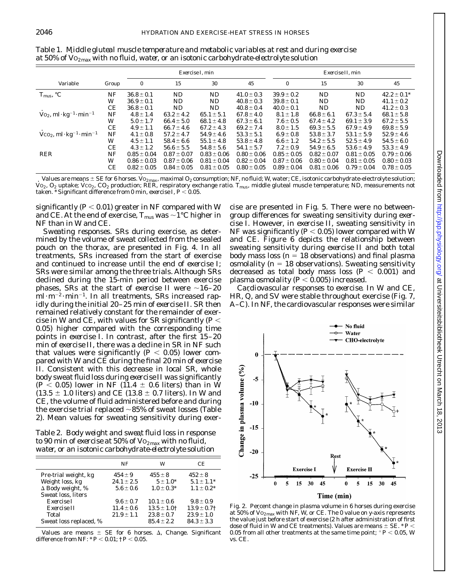|                                                        |       | <i>Exercise I</i> , min |                 |                 | <i>Exercise II</i> , min |                 |                 |                 |                 |
|--------------------------------------------------------|-------|-------------------------|-----------------|-----------------|--------------------------|-----------------|-----------------|-----------------|-----------------|
| Variable                                               | Group | 0                       | 15              | 30              | 45                       | $\bf{0}$        | 15              | 30              | 45              |
| $T_{\rm{mus}},$ °C                                     | NF    | $36.8 \pm 0.1$          | <b>ND</b>       | ND              | $41.0 \pm 0.3$           | $39.9 \pm 0.2$  | <b>ND</b>       | ND              | $42.2 \pm 0.1*$ |
|                                                        | W     | $36.9 \pm 0.1$          | ND.             | ND.             | $40.8 \pm 0.3$           | $39.8 \pm 0.1$  | ND.             | ND.             | $41.1 \pm 0.2$  |
|                                                        | CE    | $36.8 \pm 0.1$          | ND              | ND              | $40.8 \pm 0.4$           | $40.0 \pm 0.1$  | ND.             | ND.             | $41.2 \pm 0.3$  |
| $\text{Vo}_2$ , ml·kg <sup>-1</sup> ·min <sup>-1</sup> | NF    | $4.8 \pm 1.4$           | $63.2 \pm 4.2$  | $65.1 \pm 5.1$  | $67.8 \pm 4.0$           | $8.1 \pm 1.8$   | $66.8 \pm 6.1$  | $67.3 \pm 5.4$  | 68.1 $\pm$ 5.8  |
|                                                        | W     | $5.0 \pm 1.7$           | $66.4 \pm 5.0$  | 68.1 $\pm$ 4.8  | $67.3 \pm 6.1$           | $7.6 \pm 0.5$   | $67.4 \pm 4.2$  | $69.1 \pm 3.9$  | $67.2 \pm 5.5$  |
|                                                        | CE    | $4.9 \pm 1.1$           | 66.7 $\pm$ 4.6  | $67.2 \pm 4.3$  | $69.2 \pm 7.4$           | $8.0 \pm 1.5$   | $69.3 \pm 5.5$  | $67.9 \pm 4.9$  | $69.8 \pm 5.9$  |
| $\rm VCO_2$ , ml·kg <sup>-1</sup> ·min <sup>-1</sup>   | NF    | $4.1 \pm 0.8$           | $57.2 \pm 4.7$  | $54.9 \pm 4.6$  | $53.3 \pm 5.1$           | $6.9 \pm 0.8$   | $53.8 \pm 3.7$  | $53.1 \pm 5.9$  | $52.9 \pm 4.6$  |
|                                                        | W     | $4.5 \pm 1.1$           | $58.4 \pm 6.6$  | $55.1 \pm 4.8$  | $53.8 \pm 4.8$           | $6.6 \pm 1.2$   | $54.2 \pm 5.5$  | $52.5 \pm 4.9$  | $54.5 \pm 6.0$  |
|                                                        | CЕ    | $4.3 \pm 1.2$           | $56.6 \pm 5.5$  | $54.8 \pm 5.6$  | $54.1 \pm 5.7$           | $7.2 \pm 0.9$   | $54.9 \pm 6.5$  | $53.6 \pm 4.9$  | $53.3 \pm 4.9$  |
| RER                                                    | NF    | $0.85 \pm 0.04$         | $0.87 \pm 0.07$ | $0.83 \pm 0.06$ | $0.80 \pm 0.06$          | $0.85 \pm 0.05$ | $0.82 \pm 0.07$ | $0.81 \pm 0.05$ | $0.79 \pm 0.06$ |
|                                                        | W     | $0.86 \pm 0.03$         | $0.87 \pm 0.06$ | $0.81 \pm 0.04$ | $0.82 \pm 0.04$          | $0.87 \pm 0.06$ | $0.80 \pm 0.04$ | $0.81 \pm 0.05$ | $0.80 \pm 0.03$ |
|                                                        | CЕ    | $0.82 \pm 0.05$         | $0.84 \pm 0.05$ | $0.81 \pm 0.05$ | $0.80 \pm 0.05$          | $0.89 \pm 0.04$ | $0.81 \pm 0.06$ | $0.79 \pm 0.04$ | $0.78 \pm 0.05$ |

Table 1. *Middle gluteal muscle temperature and metabolic variables at rest and during exercise at 50% of V˙ O2max with no fluid, water, or an isotonic carbohydrate-electrolyte solution*

Values are means  $\pm$  SE for 6 horses. V $o_{2max}$ , maximal  $O_2$  consumption; NF, no fluid; W, water; CE, isotonic carbohydrate-electrolyte solution;  $\rm\dot{V}o_{2}$ ,  $O_{2}$  uptake;  $\rm\dot{V}co_{2}$ ,  $\rm CO_{2}$  production; RER, respiratory exchange ratio. T<sub>mus</sub>, middle gluteal muscle temperature; ND, measurements not taken. \* Significant difference from 0 min, *exercise I, P* < 0.05.

significantly  $(P < 0.01)$  greater in NF compared with W and CE. At the end of exercise,  $T_{\text{mus}}$  was  $\sim$  1°C higher in NF than in W and CE.

*Sweating responses.* SRs during exercise, as determined by the volume of sweat collected from the sealed pouch on the thorax, are presented in Fig. 4. In all treatments, SRs increased from the start of exercise and continued to increase until the end of *exercise I*; SRs were similar among the three trials. Although SRs declined during the 15-min period between exercise phases, SRs at the start of *exercise II* were  $\sim$ 16–20  $\text{m}$ l·m<sup>-2</sup>·min<sup>-1</sup>. In all treatments, SRs increased rapidly during the initial 20–25 min of *exercise II*. SR then remained relatively constant for the remainder of exercise in W and CE, with values for SR significantly ( $P$   $<$ 0.05) higher compared with the corresponding time points in *exercise I*. In contrast, after the first 15–20 min of *exercise II*, there was a decline in SR in NF such that values were significantly  $(P < 0.05)$  lower compared with W and CE during the final 20 min of *exercise II*. Consistent with this decrease in local SR, whole body sweat fluid loss during *exercise II* was significantly  $(P < 0.05)$  lower in NF (11.4  $\pm$  0.6 liters) than in W  $(13.5 \pm 1.0$  liters) and CE (13.8  $\pm$  0.7 liters). In W and CE, the volume of fluid administered before and during the exercise trial replaced  $\sim85\%$  of sweat losses (Table 2). Mean values for sweating sensitivity during exer-

Table 2. *Body weight and sweat fluid loss in response to 90 min of exercise at 50% of V˙ O2max with no fluid, water, or an isotonic carbohydrate-electrolyte solution*

|                         | NF             | W                | CE.              |
|-------------------------|----------------|------------------|------------------|
| Pre-trial weight, kg    | $454 \pm 9$    | $455 \pm 8$      | $452 \pm 8$      |
| Weight loss, kg         | $24.1 \pm 2.5$ | $5 \pm 1.0^*$    | $5.1 \pm 1.1^*$  |
| $\Delta$ Body weight, % | $5.6 \pm 0.6$  | $1.0 \pm 0.3*$   | $1.1 \pm 0.2^*$  |
| Sweat loss, liters      |                |                  |                  |
| Exercise I              | $9.6 \pm 0.7$  | $10.1 \pm 0.6$   | $9.8 \pm 0.9$    |
| Exercise II             | $11.4 \pm 0.6$ | $13.5 \pm 1.0$ † | $13.9 \pm 0.7$ † |
| Total                   | $21.9 \pm 1.1$ | $23.8 \pm 0.7$   | $23.9 \pm 1.0$   |
| Sweat loss replaced, %  |                | $85.4 \pm 2.2$   | $84.3 \pm 3.3$   |

Values are means  $\pm$  SE for 6 horses.  $\Delta$ , Change. Significant difference from NF:  $* P < 0.01$ ;  $\dagger P < 0.05$ .

cise are presented in Fig. 5. There were no betweengroup differences for sweating sensitivity during *exercise I*. However, in *exercise II*, sweating sensitivity in NF was significantly  $(P < 0.05)$  lower compared with W and CE. Figure 6 depicts the relationship between sweating sensitivity during *exercise II* and both total body mass loss ( $n = 18$  observations) and final plasma osmolality ( $n = 18$  observations). Sweating sensitivity decreased as total body mass loss  $(P < 0.001)$  and plasma osmolality  $(P < 0.005)$  increased.

*Cardiovascular responses to exercise.* In W and CE, HR, Q, and SV were stable throughout exercise (Fig. 7, *A–C*). In NF, the cardiovascular responses were similar



Fig. 2. Percent change in plasma volume in 6 horses during exercise at 50% of  $\mathrm{Vo}_{2\max}$  with NF, W, or CE. The 0 value on *y*-axis represents the value just before start of exercise (2 h after administration of first dose of fluid in W and CE treatments). Values are means  $\pm$  SE.  $^*$  *P*  $<$ 0.05 from all other treatments at the same time point;  $P < 0.05$ , W vs. CE.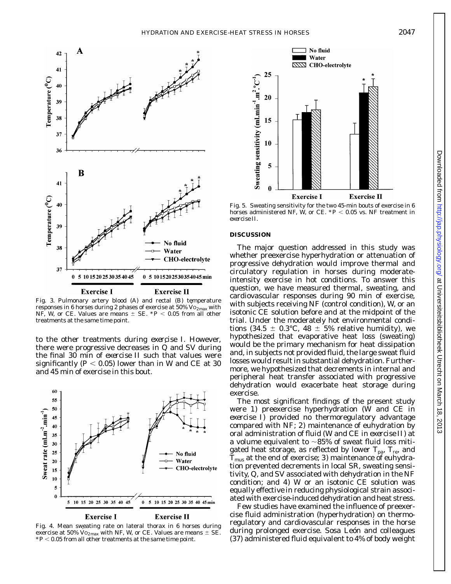

Fig. 3. Pulmonary artery blood (*A*) and rectal (*B*) temperature responses in 6 horses during 2 phases of exercise at 50%  $\rm\dot{Vo_{2max}}$  with NF, W, or CE. Values are means  $\pm$  SE.  $*P < 0.05$  from all other treatments at the same time point.

to the other treatments during *exercise I*. However, there were progressive decreases in Q˙ and SV during the final 30 min of *exercise II* such that values were significantly ( $P < 0.05$ ) lower than in W and CE at 30 and 45 min of exercise in this bout.



Fig. 4. Mean sweating rate on lateral thorax in 6 horses during exercise at 50%  $\mathrm{Vo_{2max}}$  with NF, W, or CE. Values are means  $\pm$  SE.  $*P$  < 0.05 from all other treatments at the same time point.



Fig. 5. Sweating sensitivity for the two 45-min bouts of exercise in 6 horses administered NF, W, or CE.  $*P < 0.05$  vs. NF treatment in *exercise II*.

### **DISCUSSION**

The major question addressed in this study was whether preexercise hyperhydration or attenuation of progressive dehydration would improve thermal and circulatory regulation in horses during moderateintensity exercise in hot conditions. To answer this question, we have measured thermal, sweating, and cardiovascular responses during 90 min of exercise, with subjects receiving NF (control condition), W, or an isotonic CE solution before and at the midpoint of the trial. Under the moderately hot environmental conditions (34.5  $\pm$  0.3°C, 48  $\pm$  5% relative humidity), we hypothesized that evaporative heat loss (sweating) would be the primary mechanism for heat dissipation and, in subjects not provided fluid, the large sweat fluid losses would result in substantial dehydration. Furthermore, we hypothesized that decrements in internal and peripheral heat transfer associated with progressive dehydration would exacerbate heat storage during exercise.

The most significant findings of the present study were *1*) preexercise hyperhydration (W and CE in *exercise I*) provided no thermoregulatory advantage compared with NF; *2*) maintenance of euhydration by oral administration of fluid (W and CE in *exercise II*) at a volume equivalent to  $\sim$ 85% of sweat fluid loss mitigated heat storage, as reflected by lower  $T_{pa}$ ,  $T_{re}$ , and  $T_{\text{mus}}$  at the end of exercise;  $\beta$ ) maintenance of euhydration prevented decrements in local SR, sweating sensitivity, Q, and SV associated with dehydration in the NF condition; and *4*) W or an isotonic CE solution was equally effective in reducing physiological strain associated with exercise-induced dehydration and heat stress.

Few studies have examined the influence of preexercise fluid administration (hyperhydration) on thermoregulatory and cardiovascular responses in the horse during prolonged exercise. Sosa León and colleagues (37) administered fluid equivalent to 4% of body weight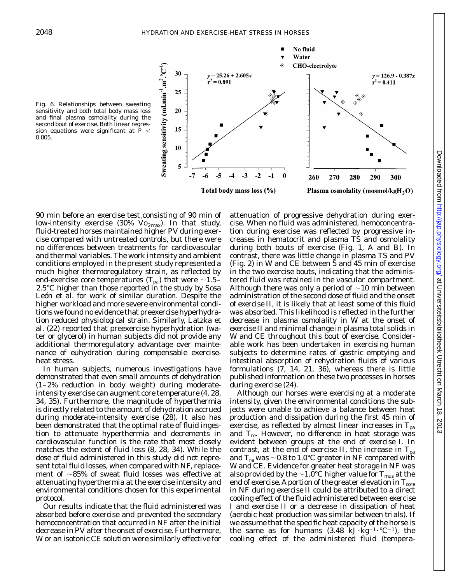



90 min before an exercise test consisting of 90 min of low-intensity exercise (30%  $Vo_{2max}$ ). In that study, fluid-treated horses maintained higher PV during exercise compared with untreated controls, but there were no differences between treatments for cardiovascular and thermal variables. The work intensity and ambient conditions employed in the present study represented a much higher thermoregulatory strain, as reflected by end-exercise core temperatures  $(T_{pa})$  that were  $\sim$ 1.5– 2.5°C higher than those reported in the study by Sosa León et al. for work of similar duration. Despite the higher workload and more severe environmental conditions we found no evidence that preexercise hyperhydration reduced physiological strain. Similarly, Latzka et al. (22) reported that preexercise hyperhydration (water or glycerol) in human subjects did not provide any additional thermoregulatory advantage over maintenance of euhydration during compensable exerciseheat stress.

In human subjects, numerous investigations have demonstrated that even small amounts of dehydration (1–2% reduction in body weight) during moderateintensity exercise can augment core temperature (4, 28, 34, 35). Furthermore, the magnitude of hyperthermia is directly related to the amount of dehydration accrued during moderate-intensity exercise (28). It also has been demonstrated that the optimal rate of fluid ingestion to attenuate hyperthermia and decrements in cardiovascular function is the rate that most closely matches the extent of fluid loss (8, 28, 34). While the dose of fluid administered in this study did not represent total fluid losses, when compared with NF, replacement of  $\sim85\%$  of sweat fluid losses was effective at attenuating hyperthermia at the exercise intensity and environmental conditions chosen for this experimental protocol.

Our results indicate that the fluid administered was absorbed before exercise and prevented the secondary hemoconcentration that occurred in NF after the initial decrease in PV after the onset of exercise. Furthermore, W or an isotonic CE solution were similarly effective for

attenuation of progressive dehydration during exercise. When no fluid was administered, hemoconcentration during exercise was reflected by progressive increases in hematocrit and plasma TS and osmolality during both bouts of exercise (Fig. 1, *A* and *B*). In contrast, there was little change in plasma TS and PV (Fig. 2) in W and CE between 5 and 45 min of exercise in the two exercise bouts, indicating that the administered fluid was retained in the vascular compartment. Although there was only a period of  $\sim$ 10 min between administration of the second dose of fluid and the onset of *exercise II*, it is likely that at least some of this fluid was absorbed. This likelihood is reflected in the further decrease in plasma osmolality in W at the onset of *exercise II* and minimal change in plasma total solids in W and CE throughout this bout of exercise. Considerable work has been undertaken in exercising human subjects to determine rates of gastric emptying and intestinal absorption of rehydration fluids of various formulations (7, 14, 21, 36), whereas there is little published information on these two processes in horses during exercise (24).

Although our horses were exercising at a moderate intensity, given the environmental conditions the subjects were unable to achieve a balance between heat production and dissipation during the first 45 min of exercise, as reflected by almost linear increases in  $T_{pa}$ and  $T_{\text{re}}$ . However, no difference in heat storage was evident between groups at the end of *exercise I*. In contrast, at the end of *exercise II*, the increase in  $T_{pa}$ and  $T_{\rm re}$  was  ${\sim}0.8$  to 1.0°C greater in NF compared with W and CE. Evidence for greater heat storage in NF was also provided by the  $\sim$  1.0°C higher value for T<sub>mus</sub> at the end of exercise. A portion of the greater elevation in  $T_{core}$ in NF during *exercise II* could be attributed to a direct cooling effect of the fluid administered between *exercise I* and *exercise II* or a decrease in dissipation of heat (aerobic heat production was similar between trials). If we assume that the specific heat capacity of the horse is the same as for humans  $(3.48 \text{ kJ·kg}^{-1} \cdot ^{\circ}\text{C}^{-1})$ , the cooling effect of the administered fluid (tempera-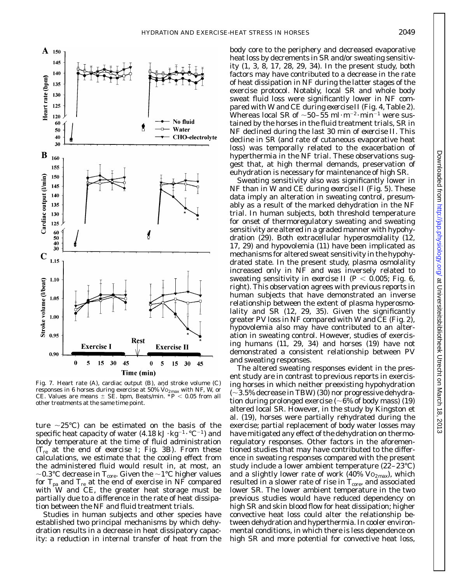

Fig. 7. Heart rate (*A*), cardiac output (*B*), and stroke volume (*C*) responses in 6 horses during exercise at 50%  $\rm Vo_{2\,max}$  with NF, W, or CE. Values are means  $\pm$  SE. bpm, Beats/min.  $*P < 0.05$  from all other treatments at the same time point.

ture  $\sim$ 25°C) can be estimated on the basis of the specific heat capacity of water  $(4.18 \text{ kJ} \cdot \text{kg}^{-1} \cdot {}^{\circ}\text{C}^{-1})$  and body temperature at the time of fluid administration (Tre at the end of *exercise I*; Fig. 3*B*). From these calculations, we estimate that the cooling effect from the administered fluid would result in, at most, an  ${\sim}0.3^{\circ}\text{C}$  decrease in T $_{\text{core}}$ . Given the  ${\sim}1^{\circ}\text{C}$  higher values for  $T_{pa}$  and  $T_{re}$  at the end of exercise in NF compared with W and CE, the greater heat storage must be partially due to a difference in the rate of heat dissipation between the NF and fluid treatment trials.

Studies in human subjects and other species have established two principal mechanisms by which dehydration results in a decrease in heat dissipatory capacity: a reduction in internal transfer of heat from the body core to the periphery and decreased evaporative heat loss by decrements in SR and/or sweating sensitivity (1, 3, 8, 17, 28, 29, 34). In the present study, both factors may have contributed to a decrease in the rate of heat dissipation in NF during the latter stages of the exercise protocol. Notably, local SR and whole body sweat fluid loss were significantly lower in NF compared with W and CE during *exercise II* (Fig. 4, Table 2). Whereas local SR of  $\sim$ 50–55 ml·m<sup>-2</sup>·min<sup>-1</sup> were sustained by the horses in the fluid treatment trials, SR in NF declined during the last 30 min of *exercise II*. This decline in SR (and rate of cutaneous evaporative heat loss) was temporally related to the exacerbation of hyperthermia in the NF trial. These observations suggest that, at high thermal demands, preservation of euhydration is necessary for maintenance of high SR.

Sweating sensitivity also was significantly lower in NF than in W and CE during *exercise II* (Fig. 5). These data imply an alteration in sweating control, presumably as a result of the marked dehydration in the NF trial. In human subjects, both threshold temperature for onset of thermoregulatory sweating and sweating sensitivity are altered in a graded manner with hypohydration (29). Both extracellular hyperosmolality (12, 17, 29) and hypovolemia (11) have been implicated as mechanisms for altered sweat sensitivity in the hypohydrated state. In the present study, plasma osmolality increased only in NF and was inversely related to sweating sensitivity in *exercise II* ( $P < 0.005$ ; Fig. 6, *right*). This observation agrees with previous reports in human subjects that have demonstrated an inverse relationship between the extent of plasma hyperosmolality and SR (12, 29, 35). Given the significantly greater PV loss in NF compared with W and CE (Fig. 2), hypovolemia also may have contributed to an alteration in sweating control. However, studies of exercising humans (11, 29, 34) and horses (19) have not demonstrated a consistent relationship between PV and sweating responses.

The altered sweating responses evident in the present study are in contrast to previous reports in exercising horses in which neither preexisting hypohydration  $(-3.5\%$  decrease in TBW) (30) nor progressive dehydration during prolonged exercise ( $\sim6\%$  of body mass) (19) altered local SR. However, in the study by Kingston et al. (19), horses were partially rehydrated during the exercise; partial replacement of body water losses may have mitigated any effect of the dehydration on thermoregulatory responses. Other factors in the aforementioned studies that may have contributed to the difference in sweating responses compared with the present study include a lower ambient temperature (22–23°C) and a slightly lower rate of work (40%  $Vo_{2max}$ ), which resulted in a slower rate of rise in  $T_{\text{core}}$ , and associated lower SR. The lower ambient temperature in the two previous studies would have reduced dependency on high SR and skin blood flow for heat dissipation; higher convective heat loss could alter the relationship between dehydration and hyperthermia. In cooler environmental conditions, in which there is less dependence on high SR and more potential for convective heat loss,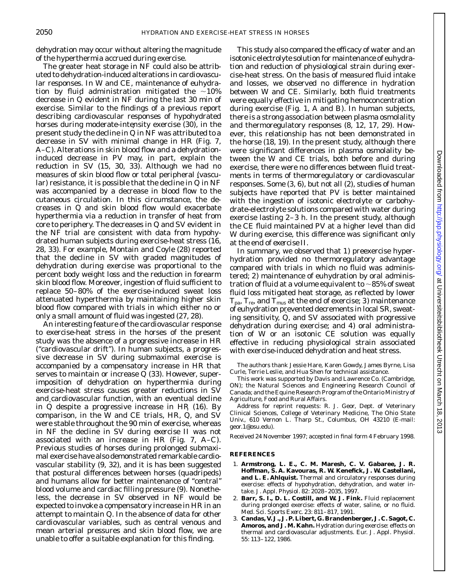dehydration may occur without altering the magnitude of the hyperthermia accrued during exercise.

The greater heat storage in NF could also be attributed to dehydration-induced alterations in cardiovascular responses. In W and CE, maintenance of euhydration by fluid administration mitigated the  $\sim$ 10% decrease in Q˙ evident in NF during the last 30 min of exercise. Similar to the findings of a previous report describing cardiovascular responses of hypohydrated horses during moderate-intensity exercise (30), in the present study the decline in Q˙ in NF was attributed to a decrease in SV with minimal change in HR (Fig. 7, *A–C*). Alterations in skin blood flow and a dehydrationinduced decrease in PV may, in part, explain the reduction in SV (15, 30, 33). Although we had no measures of skin blood flow or total peripheral (vascular) resistance, it is possible that the decline in  $Q$  in NF was accompanied by a decrease in blood flow to the cutaneous circulation. In this circumstance, the decreases in Q˙ and skin blood flow would exacerbate hyperthermia via a reduction in transfer of heat from core to periphery. The decreases in  $Q$  and SV evident in the NF trial are consistent with data from hypohydrated human subjects during exercise-heat stress (16, 28, 33). For example, Montain and Coyle (28) reported that the decline in SV with graded magnitudes of dehydration during exercise was proportional to the percent body weight loss and the reduction in forearm skin blood flow. Moreover, ingestion of fluid sufficient to replace 50–80% of the exercise-induced sweat loss attenuated hyperthermia by maintaining higher skin blood flow compared with trials in which either no or only a small amount of fluid was ingested (27, 28).

An interesting feature of the cardiovascular response to exercise-heat stress in the horses of the present study was the absence of a progressive increase in HR (''cardiovascular drift''). In human subjects, a progressive decrease in SV during submaximal exercise is accompanied by a compensatory increase in HR that serves to maintain or increase Q (33). However, superimposition of dehydration on hyperthermia during exercise-heat stress causes greater reductions in SV and cardiovascular function, with an eventual decline in Q˙ despite a progressive increase in HR (16). By comparison, in the W and CE trials,  $HR$ ,  $Q$ , and SV were stable throughout the 90 min of exercise, whereas in NF the decline in SV during *exercise II* was not associated with an increase in HR (Fig. 7, *A–C*). Previous studies of horses during prolonged submaximal exercise have also demonstrated remarkable cardiovascular stability (9, 32), and it is has been suggested that postural differences between horses (quadripeds) and humans allow for better maintenance of ''central'' blood volume and cardiac filling pressure (9). Nonetheless, the decrease in SV observed in NF would be expected to invoke a compensatory increase in HR in an attempt to maintain Q. In the absence of data for other cardiovascular variables, such as central venous and mean arterial pressures and skin blood flow, we are unable to offer a suitable explanation for this finding.

This study also compared the efficacy of water and an isotonic electrolyte solution for maintenance of euhydration and reduction of physiological strain during exercise-heat stress. On the basis of measured fluid intake and losses, we observed no difference in hydration between W and CE. Similarly, both fluid treatments were equally effective in mitigating hemoconcentration during exercise (Fig. 1, *A* and *B*). In human subjects, there is a strong association between plasma osmolality and thermoregulatory responses (8, 12, 17, 29). However, this relationship has not been demonstrated in the horse (18, 19). In the present study, although there were significant differences in plasma osmolality between the W and CE trials, both before and during exercise, there were no differences between fluid treatments in terms of thermoregulatory or cardiovascular responses. Some (3, 6), but not all (2), studies of human subjects have reported that PV is better maintained with the ingestion of isotonic electrolyte or carbohydrate-electrolyte solutions compared with water during exercise lasting 2–3 h. In the present study, although the CE fluid maintained PV at a higher level than did W during exercise, this difference was significant only at the end of *exercise II*.

In summary, we observed that *1*) preexercise hyperhydration provided no thermoregulatory advantage compared with trials in which no fluid was administered; *2*) maintenance of euhydration by oral administration of fluid at a volume equivalent to  $\sim$ 85% of sweat fluid loss mitigated heat storage, as reflected by lower  $T_{pa}$ ,  $T_{re}$ , and  $T_{mus}$  at the end of exercise; 3) maintenance of euhydration prevented decrements in local SR, sweating sensitivity, Q, and SV associated with progressive dehydration during exercise; and *4*) oral administration of W or an isotonic CE solution was equally effective in reducing physiological strain associated with exercise-induced dehydration and heat stress.

The authors thank Jessie Hare, Karen Gowdy, James Byrne, Lisa Curle, Terrie Leslie, and Hua Shen for technical assistance.

This work was supported by Davis and Lawrence Co. (Cambridge, ON); the Natural Sciences and Engineering Research Council of Canada; and the Equine Research Program of the Ontario Ministry of Agriculture, Food and Rural Affairs.

Address for reprint requests: R. J. Geor, Dept. of Veterinary Clinical Sciences, College of Veterinary Medicine, The Ohio State Univ., 610 Vernon L. Tharp St., Columbus, OH 43210 (E-mail: geor.1@osu.edu).

Received 24 November 1997; accepted in final form 4 February 1998.

#### **REFERENCES**

- 1. **Armstrong, L. E., C. M. Maresh, C. V. Gabaree, J. R. Hoffman, S. A. Kavouras, R. W. Kenefick, J. W. Castellani, and L. E. Ahlquist.** Thermal and circulatory responses during exercise: effects of hypohydration, dehydration, and water intake. *J. Appl. Physiol*. 82: 2028–2035, 1997.
- 2. **Barr, S. I., D. L. Costill, and W. J. Fink.** Fluid replacement during prolonged exercise: effects of water, saline, or no fluid. *Med. Sci. Sports Exerc*. 23: 811–817, 1991.
- 3. **Candas, V. J., J. P. Libert, G. Brandenberger, J. C. Sagot, C. Amoros, and J. M. Kahn.** Hydration during exercise: effects on thermal and cardiovascular adjustments. *Eur. J. Appl. Physiol*. 55: 113–122, 1986.